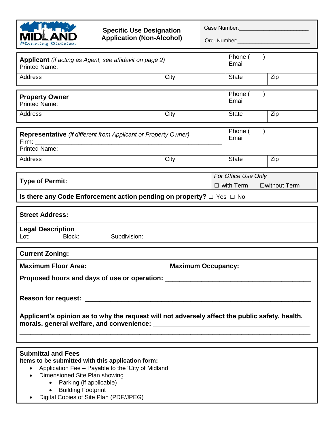

## **Specific Use Designation Application (Non-Alcohol)**

Case Number:\_\_\_\_\_\_\_\_\_\_\_\_\_\_\_\_\_\_\_\_\_\_\_

Ord. Number:

| <b>Applicant</b> (if acting as Agent, see affidavit on page 2)<br><b>Printed Name:</b>                                                                                                                                                                               |                           | Phone (<br>Email                                                  |     |  |  |
|----------------------------------------------------------------------------------------------------------------------------------------------------------------------------------------------------------------------------------------------------------------------|---------------------------|-------------------------------------------------------------------|-----|--|--|
| <b>Address</b>                                                                                                                                                                                                                                                       | City                      | <b>State</b>                                                      | Zip |  |  |
| <b>Property Owner</b><br><b>Printed Name:</b>                                                                                                                                                                                                                        |                           | Phone (<br>Email                                                  |     |  |  |
| Address                                                                                                                                                                                                                                                              | City                      | <b>State</b>                                                      | Zip |  |  |
| <b>Representative</b> (if different from Applicant or Property Owner)<br>Firm:<br><b>Printed Name:</b>                                                                                                                                                               | Phone (<br>Email          |                                                                   |     |  |  |
| Address                                                                                                                                                                                                                                                              | City                      | <b>State</b>                                                      | Zip |  |  |
| <b>Type of Permit:</b>                                                                                                                                                                                                                                               |                           | For Office Use Only<br>$\Box$ with Term<br>$\square$ without Term |     |  |  |
| Is there any Code Enforcement action pending on property? $\Box$ Yes $\Box$ No                                                                                                                                                                                       |                           |                                                                   |     |  |  |
| <b>Street Address:</b>                                                                                                                                                                                                                                               |                           |                                                                   |     |  |  |
| <b>Legal Description</b><br>Block:<br>Subdivision:<br>Lot:                                                                                                                                                                                                           |                           |                                                                   |     |  |  |
| <b>Current Zoning:</b>                                                                                                                                                                                                                                               |                           |                                                                   |     |  |  |
| <b>Maximum Floor Area:</b>                                                                                                                                                                                                                                           | <b>Maximum Occupancy:</b> |                                                                   |     |  |  |
| Proposed hours and days of use or operation:                                                                                                                                                                                                                         |                           |                                                                   |     |  |  |
| Reason for request:                                                                                                                                                                                                                                                  |                           |                                                                   |     |  |  |
| Applicant's opinion as to why the request will not adversely affect the public safety, health,<br>morals, general welfare, and convenience:<br><u> 1989 - Johann Barn, mars ann an t-Amhain an t-Amhain an t-Amhain an t-Amhain an t-Amhain an t-Amhain an t-Amh</u> |                           |                                                                   |     |  |  |
| <b>Submittal and Fees</b>                                                                                                                                                                                                                                            |                           |                                                                   |     |  |  |

**Items to be submitted with this application form:**

- Application Fee Payable to the 'City of Midland'
- Dimensioned Site Plan showing
	- Parking (if applicable)
	- Building Footprint
- Digital Copies of Site Plan (PDF/JPEG)